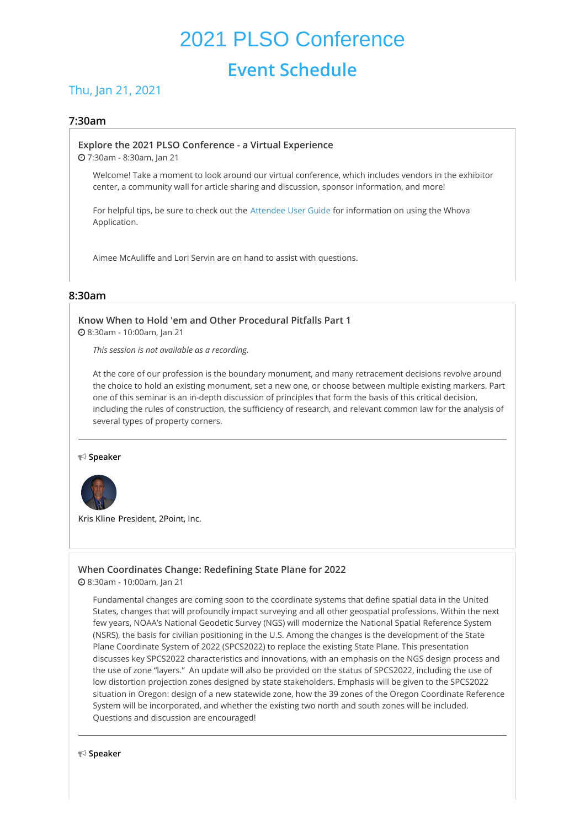# 2021 PLSO Conference **Event Schedule**

# Thu, Jan 21, 2021

# **7:30am**

#### **Explore the 2021 PLSO [Conference](https://whova.com/embedded/session/plsoc_202012/1285072/) - a Virtual Experience**

7:30am - 8:30am, Jan 21

Welcome! Take a moment to look around our virtual conference, which includes vendors in the exhibitor center, a community wall for article sharing and discussion, sponsor information, and more!

For helpful tips, be sure to check out the [Attendee](https://whova.com/pages/whova-app-user-guide/) User Guide for information on using the Whova Application.

Aimee McAuliffe and Lori Servin are on hand to assist with questions.

# **8:30am**

# **Know When to Hold 'em and Other [Procedural](https://whova.com/embedded/session/plsoc_202012/1327345/) Pitfalls Part 1**

8:30am - 10:00am, Jan 21

*This session is not available as a recording.*

At the core of our profession is the boundary monument, and many retracement decisions revolve around the choice to hold an existing monument, set a new one, or choose between multiple existing markers. Part one of this seminar is an in-depth discussion of principles that form the basis of this critical decision, including the rules of construction, the sufficiency of research, and relevant common law for the analysis of several types of property corners.

**Speaker**



**Kris Kline** President, 2Point, Inc.

# **When [Coordinates](https://whova.com/embedded/session/plsoc_202012/1393495/) Change: Redefining State Plane for 2022**

8:30am - 10:00am, Jan 21

Fundamental changes are coming soon to the coordinate systems that define spatial data in the United States, changes that will profoundly impact surveying and all other geospatial professions. Within the next few years, NOAA's National Geodetic Survey (NGS) will modernize the National Spatial Reference System (NSRS), the basis for civilian positioning in the U.S. Among the changes is the development of the State Plane Coordinate System of 2022 (SPCS2022) to replace the existing State Plane. This presentation discusses key SPCS2022 characteristics and innovations, with an emphasis on the NGS design process and the use of zone "layers." An update will also be provided on the status of SPCS2022, including the use of low distortion projection zones designed by state stakeholders. Emphasis will be given to the SPCS2022 situation in Oregon: design of a new statewide zone, how the 39 zones of the Oregon Coordinate Reference System will be incorporated, and whether the existing two north and south zones will be included. Questions and discussion are encouraged!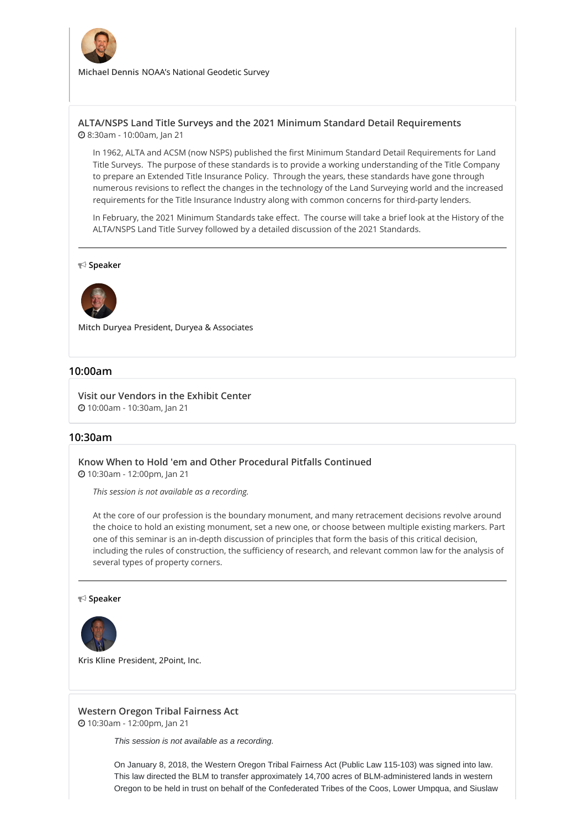

**Michael Dennis** NOAA's National Geodetic Survey

# **ALTA/NSPS Land Title Surveys and the 2021 Minimum Standard Detail [Requirements](https://whova.com/embedded/session/plsoc_202012/1455190/)** 8:30am - 10:00am, Jan 21

In 1962, ALTA and ACSM (now NSPS) published the first Minimum Standard Detail Requirements for Land Title Surveys. The purpose of these standards is to provide a working understanding of the Title Company to prepare an Extended Title Insurance Policy. Through the years, these standards have gone through numerous revisions to reflect the changes in the technology of the Land Surveying world and the increased requirements for the Title Insurance Industry along with common concerns for third-party lenders.

In February, the 2021 Minimum Standards take effect. The course will take a brief look at the History of the ALTA/NSPS Land Title Survey followed by a detailed discussion of the 2021 Standards.

#### **Speaker**



**Mitch Duryea** President, Duryea & Associates

#### **10:00am**

**Visit our [Vendors](https://whova.com/embedded/session/plsoc_202012/1344969/) in the Exhibit Center** 10:00am - 10:30am, Jan 21

#### **10:30am**

#### **Know When to Hold 'em and Other [Procedural](https://whova.com/embedded/session/plsoc_202012/1327346/) Pitfalls Continued**

10:30am - 12:00pm, Jan 21

*This session is not available as a recording.*

At the core of our profession is the boundary monument, and many retracement decisions revolve around the choice to hold an existing monument, set a new one, or choose between multiple existing markers. Part one of this seminar is an in-depth discussion of principles that form the basis of this critical decision, including the rules of construction, the sufficiency of research, and relevant common law for the analysis of several types of property corners.

#### **Speaker**



**Kris Kline** President, 2Point, Inc.

#### **Western Oregon Tribal [Fairness](https://whova.com/embedded/session/plsoc_202012/1360213/) Act** 10:30am - 12:00pm, Jan 21

*This session is not available as a recording.*

On January 8, 2018, the Western Oregon Tribal Fairness Act (Public Law 115-103) was signed into law. This law directed the BLM to transfer approximately 14,700 acres of BLM-administered lands in western Oregon to be held in trust on behalf of the Confederated Tribes of the Coos, Lower Umpqua, and Siuslaw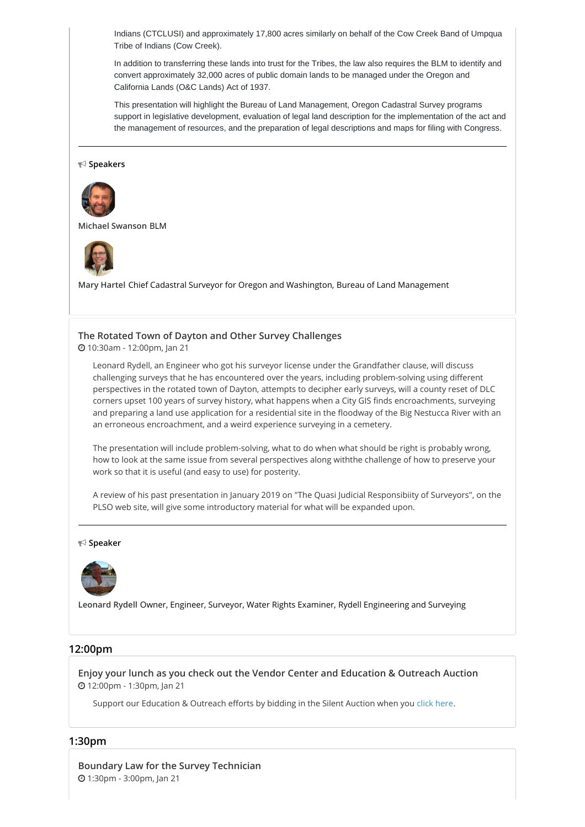Indians (CTCLUSI) and approximately 17,800 acres similarly on behalf of the Cow Creek Band of Umpqua Tribe of Indians (Cow Creek).

In addition to transferring these lands into trust for the Tribes, the law also requires the BLM to identify and convert approximately 32,000 acres of public domain lands to be managed under the Oregon and California Lands (O&C Lands) Act of 1937.

This presentation will highlight the Bureau of Land Management, Oregon Cadastral Survey programs support in legislative development, evaluation of legal land description for the implementation of the act and the management of resources, and the preparation of legal descriptions and maps for filing with Congress.

**Speakers**



**Michael Swanson** BLM



**Mary Hartel** Chief Cadastral Surveyor for Oregon and Washington, Bureau of Land Management

# **The Rotated Town of Dayton and Other Survey [Challenges](https://whova.com/embedded/session/plsoc_202012/1360723/)**

10:30am - 12:00pm, Jan 21

Leonard Rydell, an Engineer who got his surveyor license under the Grandfather clause, will discuss challenging surveys that he has encountered over the years, including problem-solving using different perspectives in the rotated town of Dayton, attempts to decipher early surveys, will a county reset of DLC corners upset 100 years of survey history, what happens when a City GIS finds encroachments, surveying and preparing a land use application for a residential site in the floodway of the Big Nestucca River with an an erroneous encroachment, and a weird experience surveying in a cemetery.

The presentation will include problem-solving, what to do when what should be right is probably wrong, how to look at the same issue from several perspectives along withthe challenge of how to preserve your work so that it is useful (and easy to use) for posterity.

A review of his past presentation in January 2019 on "The Quasi Judicial Responsibiity of Surveyors", on the PLSO web site, will give some introductory material for what will be expanded upon.

#### **Speaker**



**Leonard Rydell** Owner, Engineer, Surveyor, Water Rights Examiner, Rydell Engineering and Surveying

# **12:00pm**

**Enjoy your lunch as you check out the Vendor Center and [Education](https://whova.com/embedded/session/plsoc_202012/1345369/) & Outreach Auction** 12:00pm - 1:30pm, Jan 21

Support our Education & Outreach efforts by bidding in the Silent Auction when you click [here](https://www.charityauctionstoday.com/auctions/PLSO-15227).

#### **1:30pm**

**Boundary Law for the Survey [Technician](https://whova.com/embedded/session/plsoc_202012/1335804/)** 1:30pm - 3:00pm, Jan 21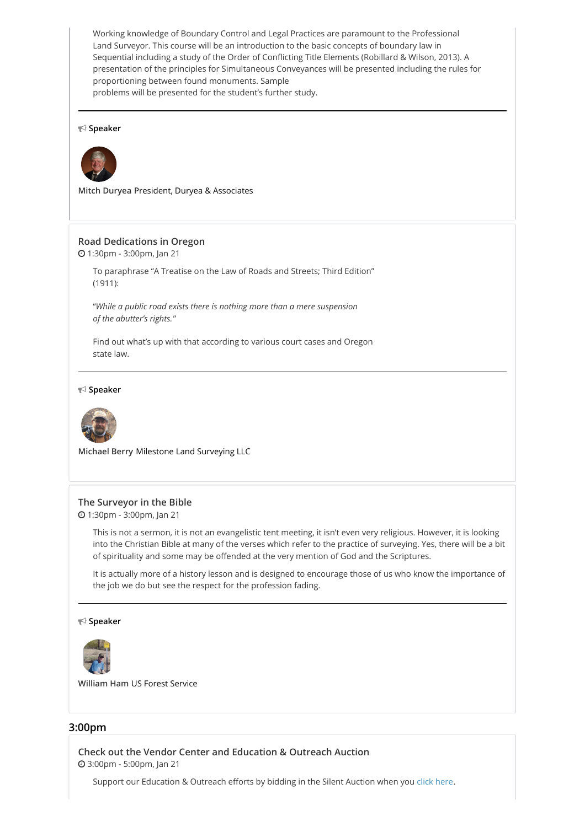Working knowledge of Boundary Control and Legal Practices are paramount to the Professional Land Surveyor. This course will be an introduction to the basic concepts of boundary law in Sequential including a study of the Order of Conflicting Title Elements (Robillard & Wilson, 2013). A presentation of the principles for Simultaneous Conveyances will be presented including the rules for proportioning between found monuments. Sample problems will be presented for the student's further study.

#### **Speaker**



**Mitch Duryea** President, Duryea & Associates

# **Road [Dedications](https://whova.com/embedded/session/plsoc_202012/1337542/) in Oregon**

1:30pm - 3:00pm, Jan 21

To paraphrase "A Treatise on the Law of Roads and Streets; Third Edition" (1911):

"*While a public road exists there is nothing more than a mere suspension of the abutter's rights.*"

Find out what's up with that according to various court cases and Oregon state law.

#### **Speaker**



**Michael Berry** Milestone Land Surveying LLC

#### **The [Surveyor](https://whova.com/embedded/session/plsoc_202012/1348170/) in the Bible**

1:30pm - 3:00pm, Jan 21

This is not a sermon, it is not an evangelistic tent meeting, it isn't even very religious. However, it is looking into the Christian Bible at many of the verses which refer to the practice of surveying. Yes, there will be a bit of spirituality and some may be offended at the very mention of God and the Scriptures.

It is actually more of a history lesson and is designed to encourage those of us who know the importance of the job we do but see the respect for the profession fading.

#### **Speaker**



**William Ham** US Forest Service

# **3:00pm**

**Check out the Vendor Center and [Education](https://whova.com/embedded/session/plsoc_202012/1360567/) & Outreach Auction** 3:00pm - 5:00pm, Jan 21

Support our Education & Outreach efforts by bidding in the Silent Auction when you click [here](https://www.charityauctionstoday.com/auctions/PLSO-15227).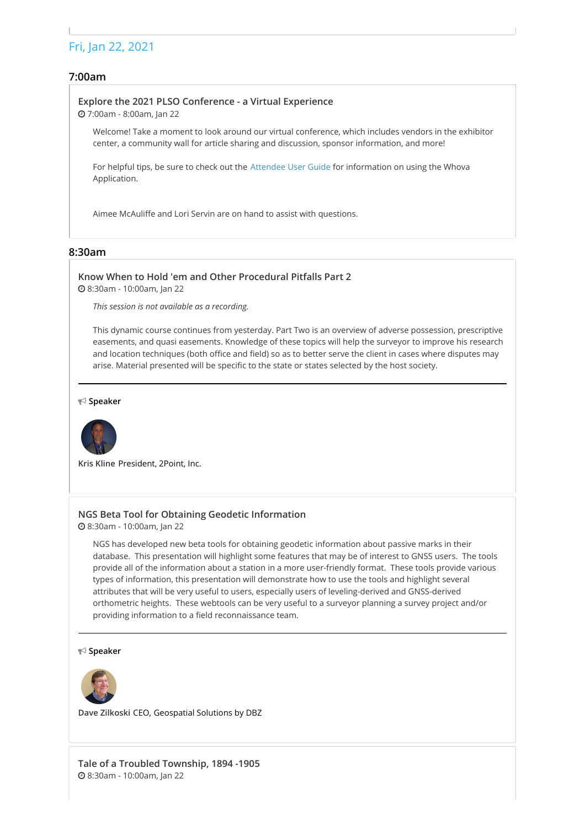# Fri, Jan 22, 2021

# **7:00am**

# **Explore the 2021 PLSO [Conference](https://whova.com/embedded/session/plsoc_202012/1285073/) - a Virtual Experience**

7:00am - 8:00am, Jan 22

Welcome! Take a moment to look around our virtual conference, which includes vendors in the exhibitor center, a community wall for article sharing and discussion, sponsor information, and more!

For helpful tips, be sure to check out the [Attendee](https://whova.com/pages/whova-app-user-guide/) User Guide for information on using the Whova Application.

Aimee McAuliffe and Lori Servin are on hand to assist with questions.

# **8:30am**

**Know When to Hold 'em and Other [Procedural](https://whova.com/embedded/session/plsoc_202012/1327347/) Pitfalls Part 2** 8:30am - 10:00am, Jan 22

*This session is not available as a recording.*

This dynamic course continues from yesterday. Part Two is an overview of adverse possession, prescriptive easements, and quasi easements. Knowledge of these topics will help the surveyor to improve his research and location techniques (both office and field) so as to better serve the client in cases where disputes may arise. Material presented will be specific to the state or states selected by the host society.

#### **Speaker**



**Kris Kline** President, 2Point, Inc.

# **NGS Beta Tool for Obtaining Geodetic [Information](https://whova.com/embedded/session/plsoc_202012/1338554/)**

8:30am - 10:00am, Jan 22

NGS has developed new beta tools for obtaining geodetic information about passive marks in their database. This presentation will highlight some features that may be of interest to GNSS users. The tools provide all of the information about a station in a more user-friendly format. These tools provide various types of information, this presentation will demonstrate how to use the tools and highlight several attributes that will be very useful to users, especially users of leveling-derived and GNSS-derived orthometric heights. These webtools can be very useful to a surveyor planning a survey project and/or providing information to a field reconnaissance team.

#### **Speaker**



**Dave Zilkoski** CEO, Geospatial Solutions by DBZ

**Tale of a Troubled [Township,](https://whova.com/embedded/session/plsoc_202012/1452230/) 1894 -1905** 8:30am - 10:00am, Jan 22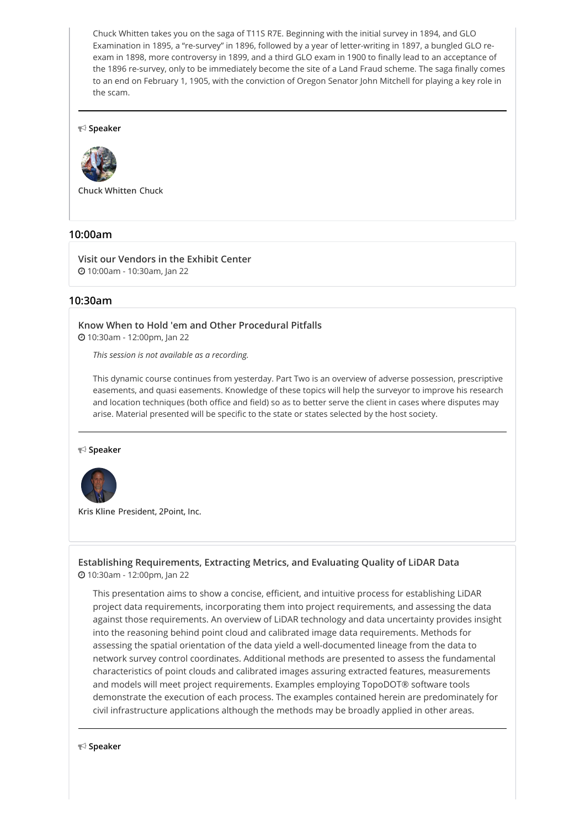Chuck Whitten takes you on the saga of T11S R7E. Beginning with the initial survey in 1894, and GLO Examination in 1895, a "re-survey" in 1896, followed by a year of letter-writing in 1897, a bungled GLO reexam in 1898, more controversy in 1899, and a third GLO exam in 1900 to finally lead to an acceptance of the 1896 re-survey, only to be immediately become the site of a Land Fraud scheme. The saga finally comes to an end on February 1, 1905, with the conviction of Oregon Senator John Mitchell for playing a key role in the scam.

#### **Speaker**



**Chuck Whitten** Chuck

# **10:00am**

**Visit our [Vendors](https://whova.com/embedded/session/plsoc_202012/1327267/) in the Exhibit Center** 10:00am - 10:30am, Jan 22

#### **10:30am**

**Know When to Hold 'em and Other [Procedural](https://whova.com/embedded/session/plsoc_202012/1327349/) Pitfalls** 10:30am - 12:00pm, Jan 22

*This session is not available as a recording.*

This dynamic course continues from yesterday. Part Two is an overview of adverse possession, prescriptive easements, and quasi easements. Knowledge of these topics will help the surveyor to improve his research and location techniques (both office and field) so as to better serve the client in cases where disputes may arise. Material presented will be specific to the state or states selected by the host society.

**Speaker**



**Kris Kline** President, 2Point, Inc.

**Establishing [Requirements,](https://whova.com/embedded/session/plsoc_202012/1418275/) Extracting Metrics, and Evaluating Quality of LiDAR Data** 10:30am - 12:00pm, Jan 22

This presentation aims to show a concise, efficient, and intuitive process for establishing LiDAR project data requirements, incorporating them into project requirements, and assessing the data against those requirements. An overview of LiDAR technology and data uncertainty provides insight into the reasoning behind point cloud and calibrated image data requirements. Methods for assessing the spatial orientation of the data yield a well-documented lineage from the data to network survey control coordinates. Additional methods are presented to assess the fundamental characteristics of point clouds and calibrated images assuring extracted features, measurements and models will meet project requirements. Examples employing TopoDOT® software tools demonstrate the execution of each process. The examples contained herein are predominately for civil infrastructure applications although the methods may be broadly applied in other areas.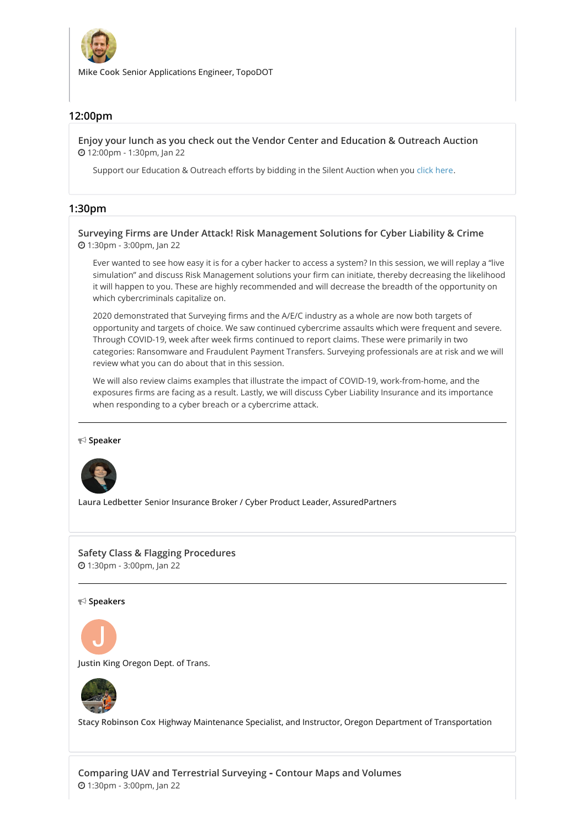

**Mike Cook** Senior Applications Engineer, TopoDOT

# **12:00pm**

**Enjoy your lunch as you check out the Vendor Center and [Education](https://whova.com/embedded/session/plsoc_202012/1345375/) & Outreach Auction** 12:00pm - 1:30pm, Jan 22

Support our Education & Outreach efforts by bidding in the Silent Auction when you click [here](https://www.charityauctionstoday.com/auctions/PLSO-15227).

# **1:30pm**

**Surveying Firms are Under Attack! Risk [Management](https://whova.com/embedded/session/plsoc_202012/1351678/) Solutions for Cyber Liability & Crime** 1:30pm - 3:00pm, Jan 22

Ever wanted to see how easy it is for a cyber hacker to access a system? In this session, we will replay a "live simulation" and discuss Risk Management solutions your firm can initiate, thereby decreasing the likelihood it will happen to you. These are highly recommended and will decrease the breadth of the opportunity on which cybercriminals capitalize on.

2020 demonstrated that Surveying firms and the A/E/C industry as a whole are now both targets of opportunity and targets of choice. We saw continued cybercrime assaults which were frequent and severe. Through COVID-19, week after week firms continued to report claims. These were primarily in two categories: Ransomware and Fraudulent Payment Transfers. Surveying professionals are at risk and we will review what you can do about that in this session.

We will also review claims examples that illustrate the impact of COVID-19, work-from-home, and the exposures firms are facing as a result. Lastly, we will discuss Cyber Liability Insurance and its importance when responding to a cyber breach or a cybercrime attack.

**Speaker**



**Laura Ledbetter** Senior Insurance Broker / Cyber Product Leader, AssuredPartners

#### **Safety Class & Flagging [Procedures](https://whova.com/embedded/session/plsoc_202012/1394263/)** 1:30pm - 3:00pm, Jan 22

**Speakers**



**Justin King** Oregon Dept. of Trans.



**Stacy Robinson Cox** Highway Maintenance Specialist, and Instructor, Oregon Department of Transportation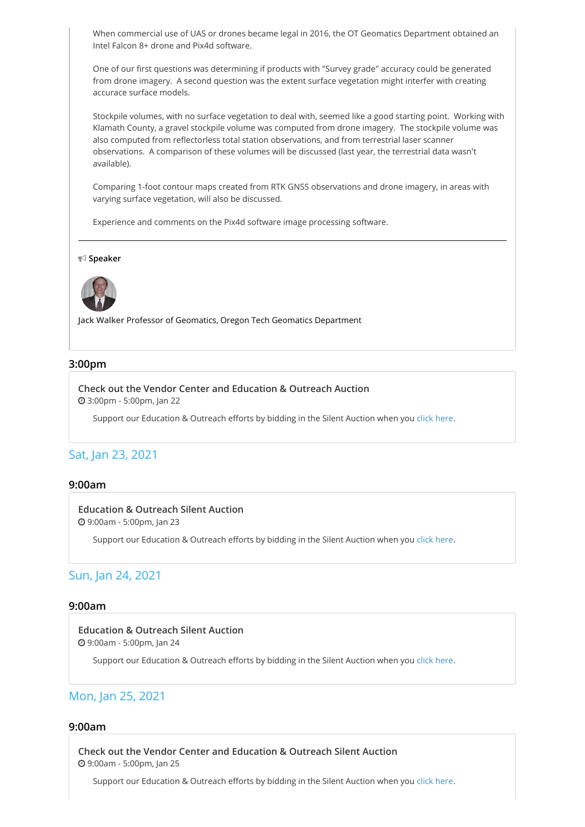When commercial use of UAS or drones became legal in 2016, the OT Geomatics Department obtained an Intel Falcon 8+ drone and Pix4d software.

One of our first questions was determining if products with "Survey grade" accuracy could be generated from drone imagery. A second question was the extent surface vegetation might interfer with creating accurace surface models.

Stockpile volumes, with no surface vegetation to deal with, seemed like a good starting point. Working with Klamath County, a gravel stockpile volume was computed from drone imagery. The stockpile volume was also computed from reflectorless total station observations, and from terrestrial laser scanner observations. A comparison of these volumes will be discussed (last year, the terrestrial data wasn't available).

Comparing 1-foot contour maps created from RTK GNSS observations and drone imagery, in areas with varying surface vegetation, will also be discussed.

Experience and comments on the Pix4d software image processing software.

**Speaker**



**Jack Walker** Professor of Geomatics, Oregon Tech Geomatics Department

#### **3:00pm**

**Check out the Vendor Center and [Education](https://whova.com/embedded/session/plsoc_202012/1360568/) & Outreach Auction** 3:00pm - 5:00pm, Jan 22

Support our Education & Outreach efforts by bidding in the Silent Auction when you click [here](https://www.charityauctionstoday.com/auctions/PLSO-15227).

# Sat, Jan 23, 2021

#### **9:00am**

#### **[Education](https://whova.com/embedded/session/plsoc_202012/1348055/) & Outreach Silent Auction**

9:00am - 5:00pm, Jan 23

Support our Education & Outreach efforts by bidding in the Silent Auction when you click [here](https://www.charityauctionstoday.com/auctions/PLSO-15227).

# Sun, Jan 24, 2021

### **9:00am**

#### **[Education](https://whova.com/embedded/session/plsoc_202012/1348056/) & Outreach Silent Auction** 9:00am - 5:00pm, Jan 24

Support our Education & Outreach efforts by bidding in the Silent Auction when you click [here](https://www.charityauctionstoday.com/auctions/PLSO-15227).

# Mon, Jan 25, 2021

# **9:00am**

**Check out the Vendor Center and [Education](https://whova.com/embedded/session/plsoc_202012/1348057/) & Outreach Silent Auction** 9:00am - 5:00pm, Jan 25

Support our Education & Outreach efforts by bidding in the Silent Auction when you click [here](https://www.charityauctionstoday.com/auctions/PLSO-15227).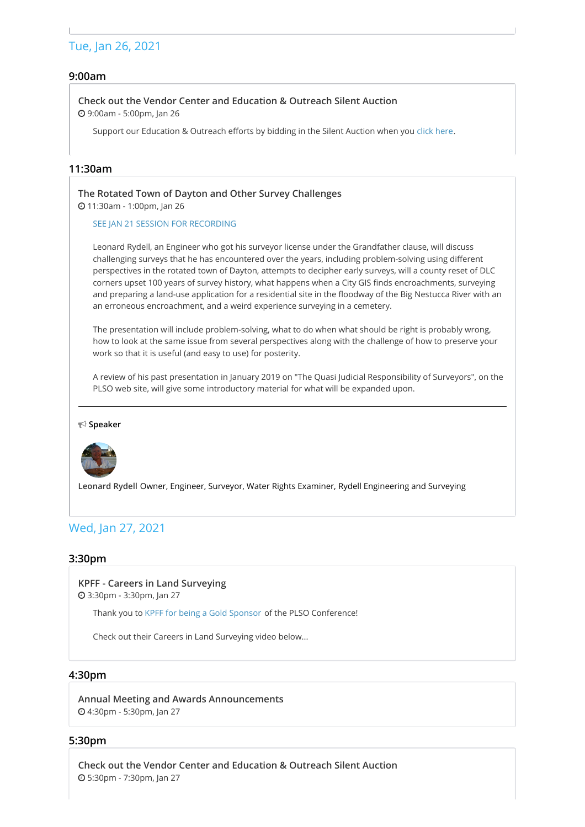# Tue, Jan 26, 2021

# **9:00am**

#### **Check out the Vendor Center and [Education](https://whova.com/embedded/session/plsoc_202012/1348058/) & Outreach Silent Auction** 9:00am - 5:00pm, Jan 26

Support our Education & Outreach efforts by bidding in the Silent Auction when you click [here](https://www.charityauctionstoday.com/auctions/PLSO-15227).

# **11:30am**

**The Rotated Town of Dayton and Other Survey [Challenges](https://whova.com/embedded/session/plsoc_202012/1463166/)** 11:30am - 1:00pm, Jan 26

SEE JAN 21 SESSION FOR [RECORDING](https://whova.com/portal/webapp/plsoc_202012/Agenda/1360723)

Leonard Rydell, an Engineer who got his surveyor license under the Grandfather clause, will discuss challenging surveys that he has encountered over the years, including problem-solving using different perspectives in the rotated town of Dayton, attempts to decipher early surveys, will a county reset of DLC corners upset 100 years of survey history, what happens when a City GIS finds encroachments, surveying and preparing a land-use application for a residential site in the floodway of the Big Nestucca River with an an erroneous encroachment, and a weird experience surveying in a cemetery.

The presentation will include problem-solving, what to do when what should be right is probably wrong, how to look at the same issue from several perspectives along with the challenge of how to preserve your work so that it is useful (and easy to use) for posterity.

A review of his past presentation in January 2019 on "The Quasi Judicial Responsibility of Surveyors", on the PLSO web site, will give some introductory material for what will be expanded upon.

**Speaker**



**Leonard Rydell** Owner, Engineer, Surveyor, Water Rights Examiner, Rydell Engineering and Surveying

# Wed, Jan 27, 2021

#### **3:30pm**

**KPFF - Careers in Land [Surveying](https://whova.com/embedded/session/plsoc_202012/1338585/)** 3:30pm - 3:30pm, Jan 27

Thank you to KPFF for being a Gold [Sponsor](https://whova.com/portal/webapp/plsoc_202012/sponsors/43662/) of the PLSO Conference!

Check out their Careers in Land Surveying video below...

#### **4:30pm**

**Annual Meeting and Awards [Announcements](https://whova.com/embedded/session/plsoc_202012/1326146/)** 4:30pm - 5:30pm, Jan 27

#### **5:30pm**

**Check out the Vendor Center and [Education](https://whova.com/embedded/session/plsoc_202012/1345413/) & Outreach Silent Auction** 5:30pm - 7:30pm, Jan 27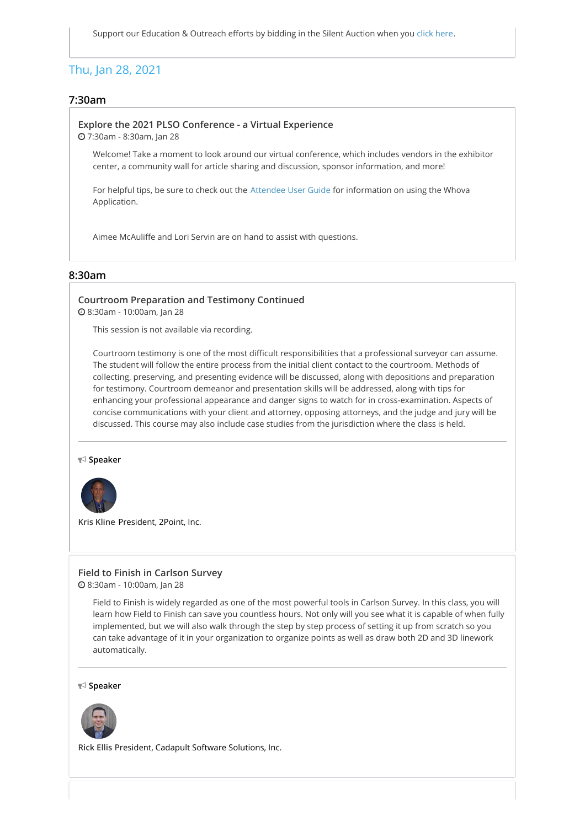# Thu, Jan 28, 2021

# **7:30am**

#### **Explore the 2021 PLSO [Conference](https://whova.com/embedded/session/plsoc_202012/1338579/) - a Virtual Experience**

7:30am - 8:30am, Jan 28

Welcome! Take a moment to look around our virtual conference, which includes vendors in the exhibitor center, a community wall for article sharing and discussion, sponsor information, and more!

For helpful tips, be sure to check out the [Attendee](https://whova.com/pages/whova-app-user-guide/) User Guide for information on using the Whova Application.

Aimee McAuliffe and Lori Servin are on hand to assist with questions.

#### **8:30am**

#### **Courtroom [Preparation](https://whova.com/embedded/session/plsoc_202012/1332736/) and Testimony Continued** 8:30am - 10:00am, Jan 28

This session is not available via recording.

Courtroom testimony is one of the most difficult responsibilities that a professional surveyor can assume. The student will follow the entire process from the initial client contact to the courtroom. Methods of collecting, preserving, and presenting evidence will be discussed, along with depositions and preparation for testimony. Courtroom demeanor and presentation skills will be addressed, along with tips for enhancing your professional appearance and danger signs to watch for in cross-examination. Aspects of concise communications with your client and attorney, opposing attorneys, and the judge and jury will be discussed. This course may also include case studies from the jurisdiction where the class is held.

**Speaker**



**Kris Kline** President, 2Point, Inc.

#### **Field to Finish in [Carlson](https://whova.com/embedded/session/plsoc_202012/1338537/) Survey**

8:30am - 10:00am, Jan 28

Field to Finish is widely regarded as one of the most powerful tools in Carlson Survey. In this class, you will learn how Field to Finish can save you countless hours. Not only will you see what it is capable of when fully implemented, but we will also walk through the step by step process of setting it up from scratch so you can take advantage of it in your organization to organize points as well as draw both 2D and 3D linework automatically.

**Speaker**



**Rick Ellis** President, Cadapult Software Solutions, Inc.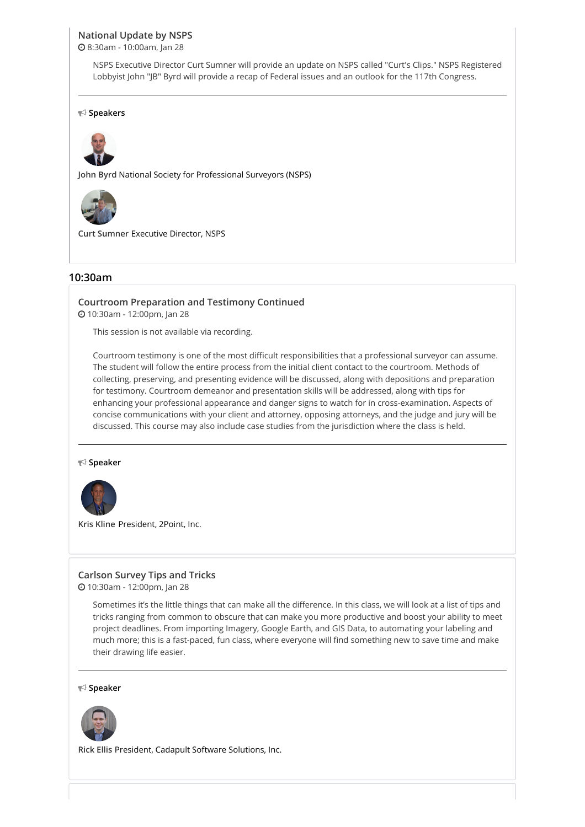# **[National](https://whova.com/embedded/session/plsoc_202012/1362798/) Update by NSPS**

8:30am - 10:00am, Jan 28

NSPS Executive Director Curt Sumner will provide an update on NSPS called "Curt's Clips." NSPS Registered Lobbyist John "JB" Byrd will provide a recap of Federal issues and an outlook for the 117th Congress.

#### **Speakers**



**John Byrd** National Society for Professional Surveyors (NSPS)



**Curt Sumner** Executive Director, NSPS

#### **10:30am**

# **Courtroom [Preparation](https://whova.com/embedded/session/plsoc_202012/1332739/) and Testimony Continued**

10:30am - 12:00pm, Jan 28

This session is not available via recording.

Courtroom testimony is one of the most difficult responsibilities that a professional surveyor can assume. The student will follow the entire process from the initial client contact to the courtroom. Methods of collecting, preserving, and presenting evidence will be discussed, along with depositions and preparation for testimony. Courtroom demeanor and presentation skills will be addressed, along with tips for enhancing your professional appearance and danger signs to watch for in cross-examination. Aspects of concise communications with your client and attorney, opposing attorneys, and the judge and jury will be discussed. This course may also include case studies from the jurisdiction where the class is held.

#### **Speaker**



**Kris Kline** President, 2Point, Inc.

#### **[Carlson](https://whova.com/embedded/session/plsoc_202012/1338541/) Survey Tips and Tricks**

10:30am - 12:00pm, Jan 28

Sometimes it's the little things that can make all the difference. In this class, we will look at a list of tips and tricks ranging from common to obscure that can make you more productive and boost your ability to meet project deadlines. From importing Imagery, Google Earth, and GIS Data, to automating your labeling and much more; this is a fast-paced, fun class, where everyone will find something new to save time and make their drawing life easier.

**Speaker**



**Rick Ellis** President, Cadapult Software Solutions, Inc.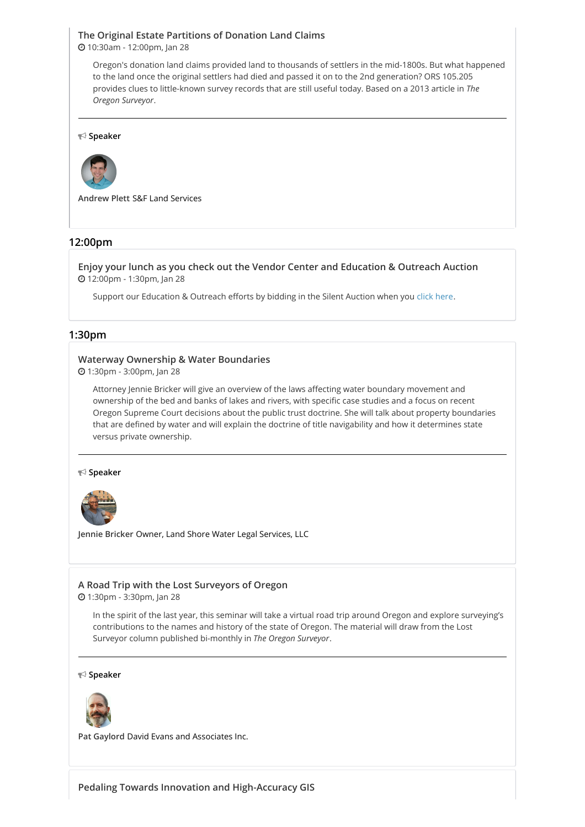# **The Original Estate [Partitions](https://whova.com/embedded/session/plsoc_202012/1344888/) of Donation Land Claims**

10:30am - 12:00pm, Jan 28

Oregon's donation land claims provided land to thousands of settlers in the mid-1800s. But what happened to the land once the original settlers had died and passed it on to the 2nd generation? ORS 105.205 provides clues to little-known survey records that are still useful today. Based on a 2013 article in *The Oregon Surveyor*.

**Speaker**



**Andrew Plett** S&F Land Services

#### **12:00pm**

**Enjoy your lunch as you check out the Vendor Center and [Education](https://whova.com/embedded/session/plsoc_202012/1345434/) & Outreach Auction** 12:00pm - 1:30pm, Jan 28

Support our Education & Outreach efforts by bidding in the Silent Auction when you click [here](https://www.charityauctionstoday.com/auctions/PLSO-15227).

#### **1:30pm**

#### **Waterway Ownership & Water [Boundaries](https://whova.com/embedded/session/plsoc_202012/1360566/)**

1:30pm - 3:00pm, Jan 28

Attorney Jennie Bricker will give an overview of the laws affecting water boundary movement and ownership of the bed and banks of lakes and rivers, with specific case studies and a focus on recent Oregon Supreme Court decisions about the public trust doctrine. She will talk about property boundaries that are defined by water and will explain the doctrine of title navigability and how it determines state versus private ownership.

#### **Speaker**



**Jennie Bricker** Owner, Land Shore Water Legal Services, LLC

#### **A Road Trip with the Lost [Surveyors](https://whova.com/embedded/session/plsoc_202012/1351005/) of Oregon**

1:30pm - 3:30pm, Jan 28

In the spirit of the last year, this seminar will take a virtual road trip around Oregon and explore surveying's contributions to the names and history of the state of Oregon. The material will draw from the Lost Surveyor column published bi-monthly in *The Oregon Surveyor*.

#### **Speaker**



**Pat Gaylord** David Evans and Associates Inc.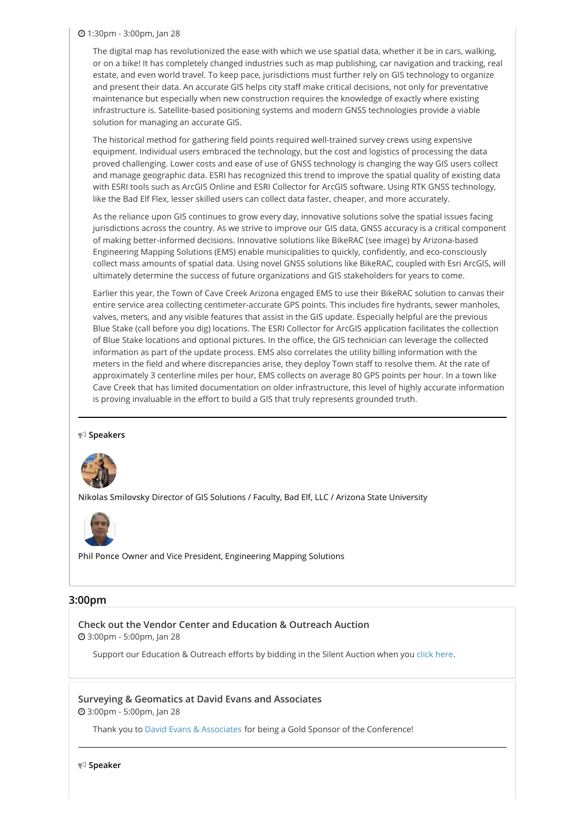#### 1:30pm - 3:00pm, Jan 28

The digital map has revolutionized the ease with which we use spatial data, whether it be in cars, walking, or on a bike! It has completely changed industries such as map publishing, car navigation and tracking, real estate, and even world travel. To keep pace, jurisdictions must further rely on GIS technology to organize and present their data. An accurate GIS helps city staff make critical decisions, not only for preventative maintenance but especially when new construction requires the knowledge of exactly where existing infrastructure is. Satellite-based positioning systems and modern GNSS technologies provide a viable solution for managing an accurate GIS.

The historical method for gathering field points required well-trained survey crews using expensive equipment. Individual users embraced the technology, but the cost and logistics of processing the data proved challenging. Lower costs and ease of use of GNSS technology is changing the way GIS users collect and manage geographic data. ESRI has recognized this trend to improve the spatial quality of existing data with ESRI tools such as ArcGIS Online and ESRI Collector for ArcGIS software. Using RTK GNSS technology, like the Bad Elf Flex, lesser skilled users can collect data faster, cheaper, and more accurately.

As the reliance upon GIS continues to grow every day, innovative solutions solve the spatial issues facing jurisdictions across the country. As we strive to improve our GIS data, GNSS accuracy is a critical component of making better-informed decisions. Innovative solutions like BikeRAC (see image) by Arizona-based Engineering Mapping Solutions (EMS) enable municipalities to quickly, confidently, and eco-consciously collect mass amounts of spatial data. Using novel GNSS solutions like BikeRAC, coupled with Esri ArcGIS, will ultimately determine the success of future organizations and GIS stakeholders for years to come.

Earlier this year, the Town of Cave Creek Arizona engaged EMS to use their BikeRAC solution to canvas their entire service area collecting centimeter-accurate GPS points. This includes fire hydrants, sewer manholes, valves, meters, and any visible features that assist in the GIS update. Especially helpful are the previous Blue Stake (call before you dig) locations. The ESRI Collector for ArcGIS application facilitates the collection of Blue Stake locations and optional pictures. In the office, the GIS technician can leverage the collected information as part of the update process. EMS also correlates the utility billing information with the meters in the field and where discrepancies arise, they deploy Town staff to resolve them. At the rate of approximately 3 centerline miles per hour, EMS collects on average 80 GPS points per hour. In a town like Cave Creek that has limited documentation on older infrastructure, this level of highly accurate information is proving invaluable in the effort to build a GIS that truly represents grounded truth.

#### **Speakers**



**Nikolas Smilovsky** Director of GIS Solutions / Faculty, Bad Elf, LLC / Arizona State University



**Phil Ponce** Owner and Vice President, Engineering Mapping Solutions

# **3:00pm**

**Check out the Vendor Center and [Education](https://whova.com/embedded/session/plsoc_202012/1360569/) & Outreach Auction** 3:00pm - 5:00pm, Jan 28

Support our Education & Outreach efforts by bidding in the Silent Auction when you click [here](https://www.charityauctionstoday.com/auctions/PLSO-15227).

**Surveying & [Geomatics](https://whova.com/embedded/session/plsoc_202012/1461705/) at David Evans and Associates**

3:00pm - 5:00pm, Jan 28

Thank you to David Evans & [Associates](https://whova.com/portal/webapp/plsoc_202012/sponsors/42328/) for being a Gold Sponsor of the Conference!

**Speaker**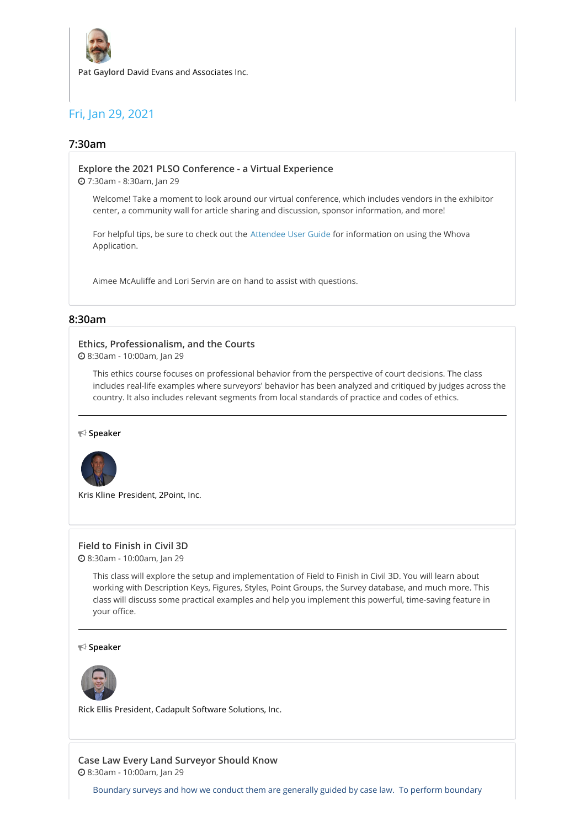

**Pat Gaylord** David Evans and Associates Inc.

# Fri, Jan 29, 2021

# **7:30am**

**Explore the 2021 PLSO [Conference](https://whova.com/embedded/session/plsoc_202012/1338582/) - a Virtual Experience**

7:30am - 8:30am, Jan 29

Welcome! Take a moment to look around our virtual conference, which includes vendors in the exhibitor center, a community wall for article sharing and discussion, sponsor information, and more!

For helpful tips, be sure to check out the [Attendee](https://whova.com/pages/whova-app-user-guide/) User Guide for information on using the Whova Application.

Aimee McAuliffe and Lori Servin are on hand to assist with questions.

# **8:30am**

#### **Ethics, [Professionalism,](https://whova.com/embedded/session/plsoc_202012/1327350/) and the Courts**

8:30am - 10:00am, Jan 29

This ethics course focuses on professional behavior from the perspective of court decisions. The class includes real-life examples where surveyors' behavior has been analyzed and critiqued by judges across the country. It also includes relevant segments from local standards of practice and codes of ethics.

**Speaker**



**Kris Kline** President, 2Point, Inc.

#### **Field to [Finish](https://whova.com/embedded/session/plsoc_202012/1338542/) in Civil 3D**

8:30am - 10:00am, Jan 29

This class will explore the setup and implementation of Field to Finish in Civil 3D. You will learn about working with Description Keys, Figures, Styles, Point Groups, the Survey database, and much more. This class will discuss some practical examples and help you implement this powerful, time-saving feature in your office.

**Speaker**



**Rick Ellis** President, Cadapult Software Solutions, Inc.

**Case Law Every Land [Surveyor](https://whova.com/embedded/session/plsoc_202012/1418347/) Should Know** 8:30am - 10:00am, Jan 29

Boundary surveys and how we conduct them are generally guided by case law. To perform boundary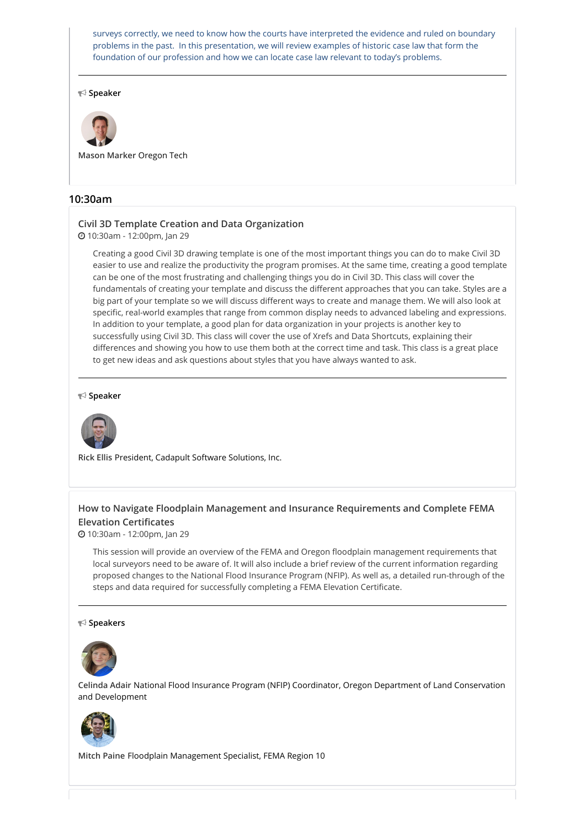surveys correctly, we need to know how the courts have interpreted the evidence and ruled on boundary problems in the past. In this presentation, we will review examples of historic case law that form the foundation of our profession and how we can locate case law relevant to today's problems.

**Speaker**



**Mason Marker** Oregon Tech

# **10:30am**

# **Civil 3D Template Creation and Data [Organization](https://whova.com/embedded/session/plsoc_202012/1338543/)**

10:30am - 12:00pm, Jan 29

Creating a good Civil 3D drawing template is one of the most important things you can do to make Civil 3D easier to use and realize the productivity the program promises. At the same time, creating a good template can be one of the most frustrating and challenging things you do in Civil 3D. This class will cover the fundamentals of creating your template and discuss the different approaches that you can take. Styles are a big part of your template so we will discuss different ways to create and manage them. We will also look at specific, real-world examples that range from common display needs to advanced labeling and expressions. In addition to your template, a good plan for data organization in your projects is another key to successfully using Civil 3D. This class will cover the use of Xrefs and Data Shortcuts, explaining their differences and showing you how to use them both at the correct time and task. This class is a great place to get new ideas and ask questions about styles that you have always wanted to ask.

#### **Speaker**



**Rick Ellis** President, Cadapult Software Solutions, Inc.

# **How to Navigate Floodplain Management and Insurance [Requirements](https://whova.com/embedded/session/plsoc_202012/1356194/) and Complete FEMA Elevation Certificates**

10:30am - 12:00pm, Jan 29

This session will provide an overview of the FEMA and Oregon floodplain management requirements that local surveyors need to be aware of. It will also include a brief review of the current information regarding proposed changes to the National Flood Insurance Program (NFIP). As well as, a detailed run-through of the steps and data required for successfully completing a FEMA Elevation Certificate.

#### **Speakers**



**Celinda Adair** National Flood Insurance Program (NFIP) Coordinator, Oregon Department of Land Conservation and Development



**Mitch Paine** Floodplain Management Specialist, FEMA Region 10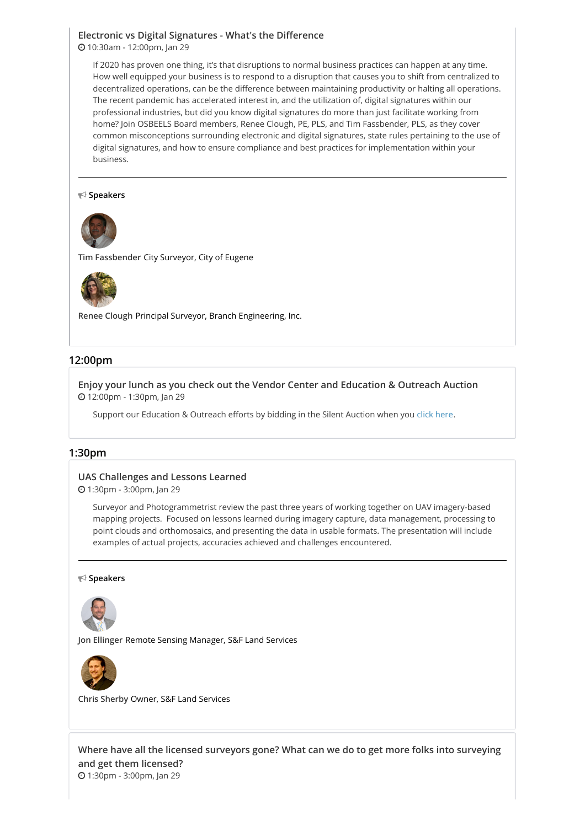### **Electronic vs Digital [Signatures](https://whova.com/embedded/session/plsoc_202012/1362841/) - What's the Difference** 10:30am - 12:00pm, Jan 29

If 2020 has proven one thing, it's that disruptions to normal business practices can happen at any time. How well equipped your business is to respond to a disruption that causes you to shift from centralized to decentralized operations, can be the difference between maintaining productivity or halting all operations. The recent pandemic has accelerated interest in, and the utilization of, digital signatures within our professional industries, but did you know digital signatures do more than just facilitate working from home? Join OSBEELS Board members, Renee Clough, PE, PLS, and Tim Fassbender, PLS, as they cover common misconceptions surrounding electronic and digital signatures, state rules pertaining to the use of digital signatures, and how to ensure compliance and best practices for implementation within your business.

#### **Speakers**



**Tim Fassbender** City Surveyor, City of Eugene



**Renee Clough** Principal Surveyor, Branch Engineering, Inc.

#### **12:00pm**

**Enjoy your lunch as you check out the Vendor Center and [Education](https://whova.com/embedded/session/plsoc_202012/1345435/) & Outreach Auction** 12:00pm - 1:30pm, Jan 29

Support our Education & Outreach efforts by bidding in the Silent Auction when you click [here](https://www.charityauctionstoday.com/auctions/PLSO-15227).

#### **1:30pm**

#### **UAS [Challenges](https://whova.com/embedded/session/plsoc_202012/1344276/) and Lessons Learned**

1:30pm - 3:00pm, Jan 29

Surveyor and Photogrammetrist review the past three years of working together on UAV imagery-based mapping projects. Focused on lessons learned during imagery capture, data management, processing to point clouds and orthomosaics, and presenting the data in usable formats. The presentation will include examples of actual projects, accuracies achieved and challenges encountered.

#### **Speakers**



**Jon Ellinger** Remote Sensing Manager, S&F Land Services



**Chris Sherby** Owner, S&F Land Services

**Where have all the licensed [surveyors](https://whova.com/embedded/session/plsoc_202012/1394301/) gone? What can we do to get more folks into surveying and get them licensed?** 1:30pm - 3:00pm, Jan 29